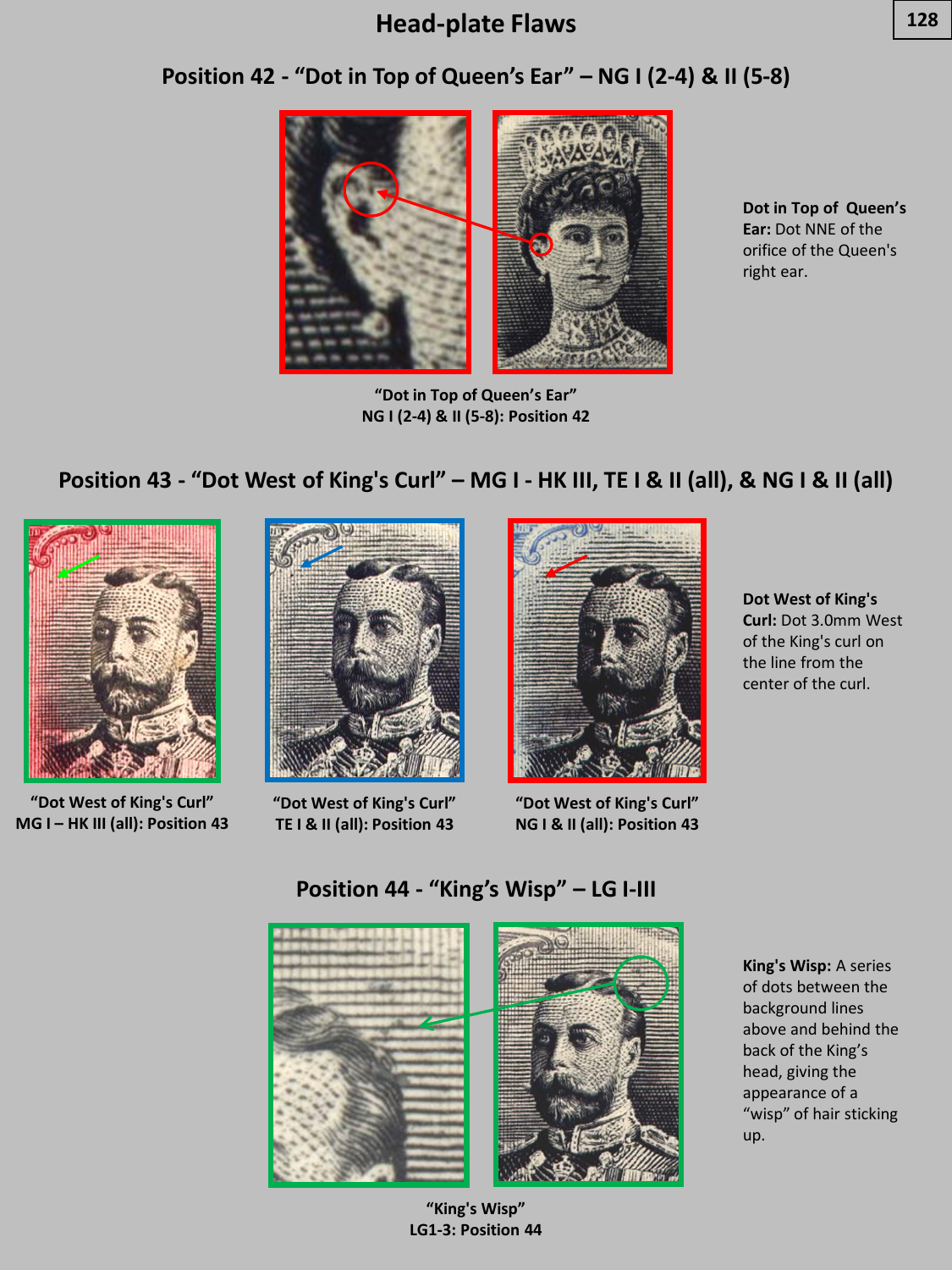



**"Dot in Top of Queen's Ear" NG I (2-4) & II (5-8): Position 42**

**Dot in Top of Queen's Ear:** Dot NNE of the orifice of the Queen's right ear.

## **Position 43 - "Dot West of King's Curl" – MG I - HK III, TE I & II (all), & NG I & II (all)**



**"Dot West of King's Curl" MG I – HK III (all): Position 43**



**"Dot West of King's Curl" TE I & II (all): Position 43**



**"Dot West of King's Curl" NG I & II (all): Position 43**

**Dot West of King's Curl:** Dot 3.0mm West of the King's curl on the line from the center of the curl.



**Position 44 - "King's Wisp" – LG I-III**

**King's Wisp:** A series of dots between the background lines above and behind the back of the King's head, giving the appearance of a "wisp" of hair sticking up.

**"King's Wisp" LG1-3: Position 44**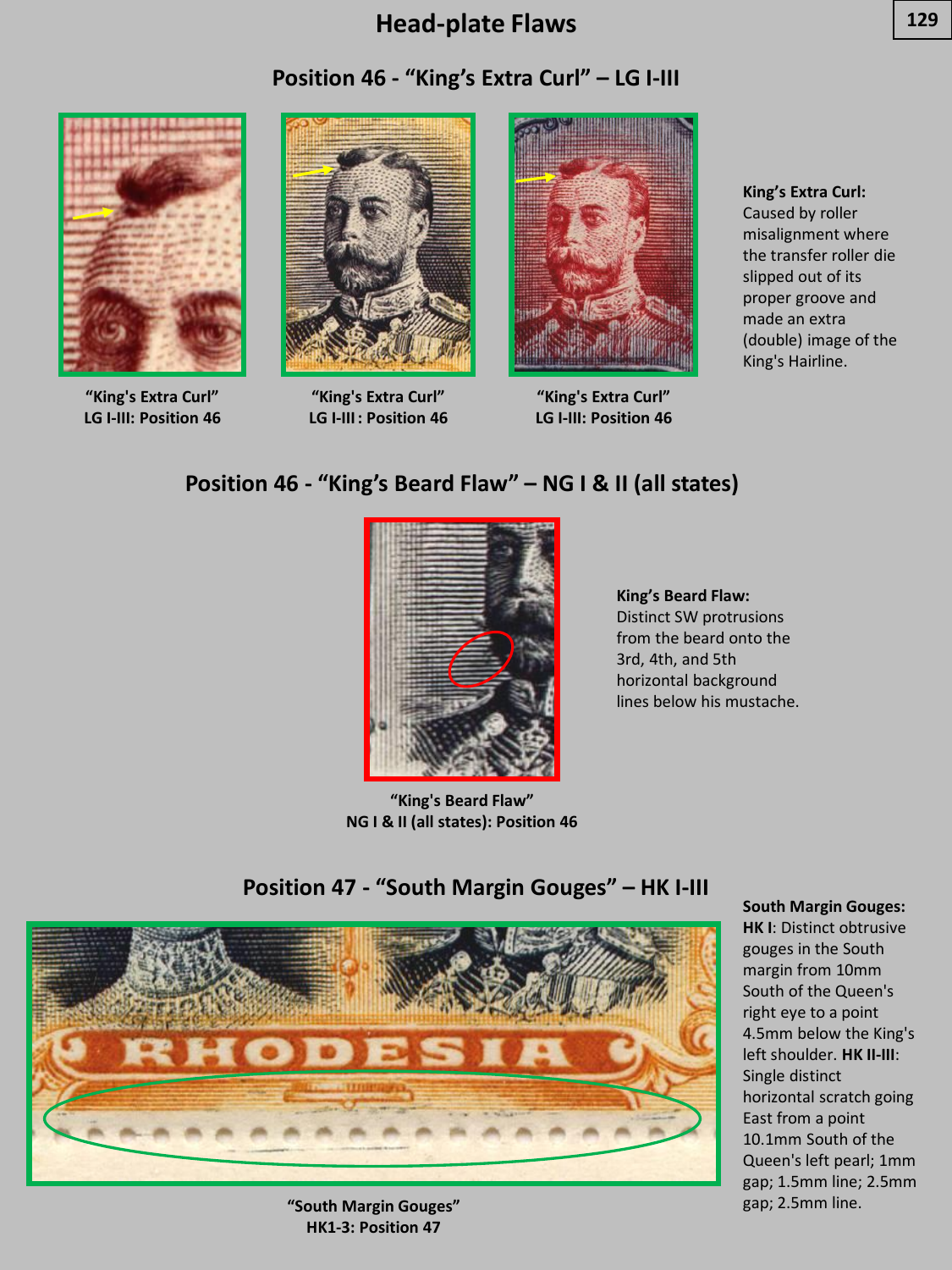#### **Position 46 - "King's Extra Curl" – LG I-III**



**"King's Extra Curl" LG I-III: Position 46**



**"King's Extra Curl" LG I-III: Position 46**



**"King's Extra Curl" LG I-III: Position 46**

**King's Extra Curl:**  Caused by roller misalignment where the transfer roller die slipped out of its proper groove and made an extra (double) image of the King's Hairline.

#### **Position 46 - "King's Beard Flaw" – NG I & II (all states)**



**"King's Beard Flaw" NG I & II (all states): Position 46**

**King's Beard Flaw:**  Distinct SW protrusions from the beard onto the 3rd, 4th, and 5th horizontal background lines below his mustache.

#### **Position 47 - "South Margin Gouges" – HK I-III**



**"South Margin Gouges"** gap; 2.5mm line. **HK1-3: Position 47**

#### **South Margin Gouges:**

**HK I**: Distinct obtrusive gouges in the South margin from 10mm South of the Queen's right eye to a point 4.5mm below the King's left shoulder. **HK II-III**: Single distinct horizontal scratch going East from a point 10.1mm South of the Queen's left pearl; 1mm gap; 1.5mm line; 2.5mm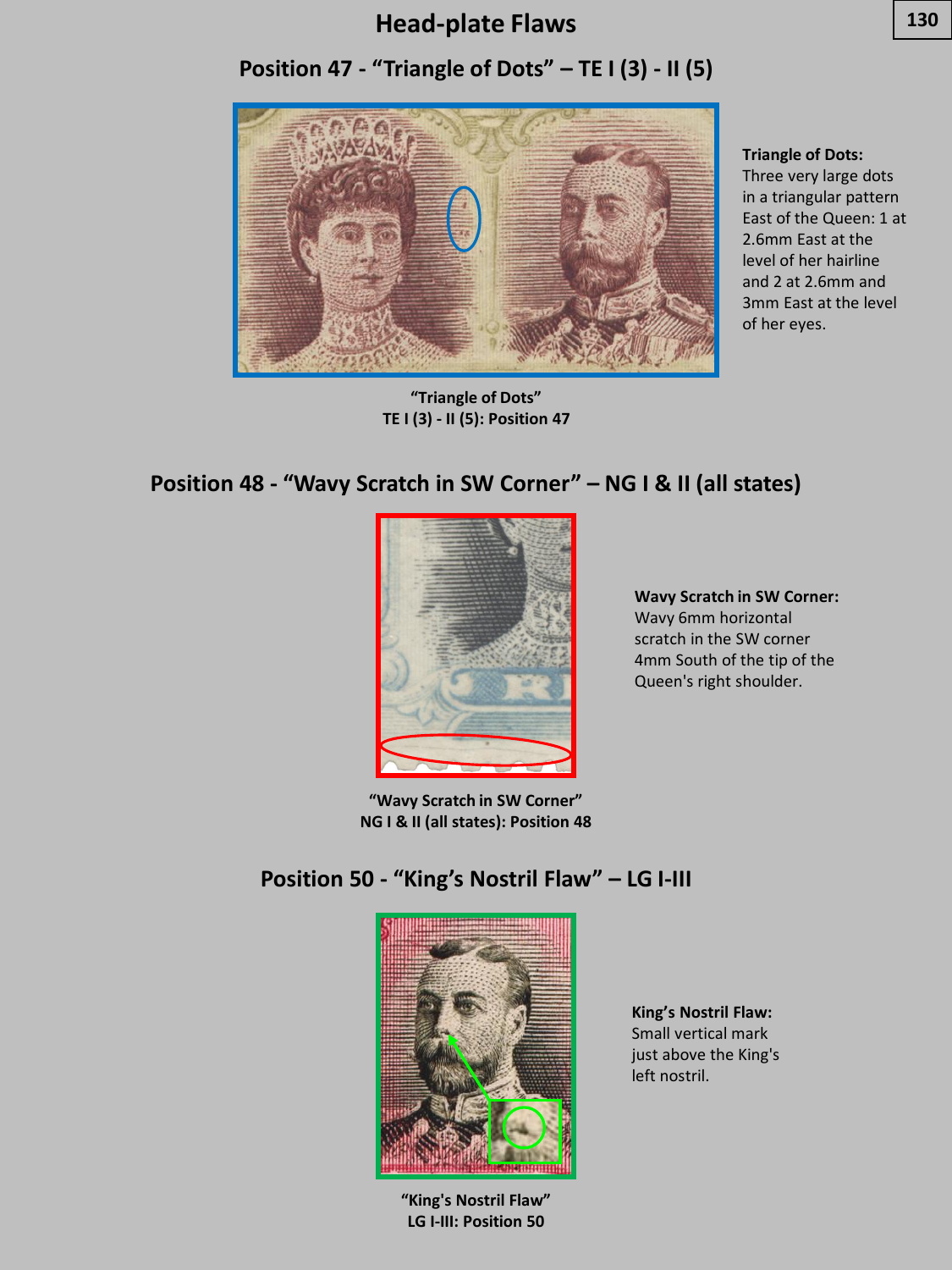# **Position 47 - "Triangle of Dots" – TE I (3) - II (5)**



**"Triangle of Dots" TE I (3) - II (5): Position 47**

**Triangle of Dots:** 

Three very large dots in a triangular pattern East of the Queen: 1 at 2.6mm East at the level of her hairline and 2 at 2.6mm and 3mm East at the level of her eyes.

# **Position 48 - "Wavy Scratch in SW Corner" – NG I & II (all states)**



**Wavy Scratch in SW Corner:**  Wavy 6mm horizontal scratch in the SW corner 4mm South of the tip of the Queen's right shoulder.

**"Wavy Scratch in SW Corner" NG I & II (all states): Position 48**

## **Position 50 - "King's Nostril Flaw" – LG I-III**



**"King's Nostril Flaw" LG I-III: Position 50**

**King's Nostril Flaw:**  Small vertical mark just above the King's left nostril.